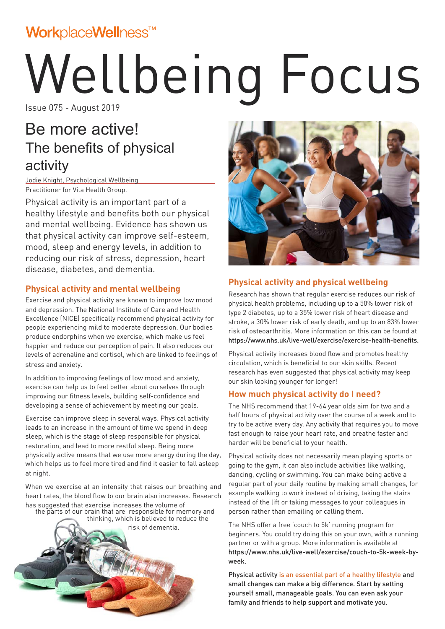## WorkplaceWellness™

# Wellbeing Focus

Issue 075 - August 2019

## Be more active! The benefits of physical activity

Jodie Knight, Psychological Wellbeing Practitioner for Vita Health Group.

Physical activity is an important part of a healthy lifestyle and benefits both our physical and mental wellbeing. Evidence has shown us that physical activity can improve self-esteem, mood, sleep and energy levels, in addition to reducing our risk of stress, depression, heart disease, diabetes, and dementia.

## **Physical activity and mental wellbeing**

Exercise and physical activity are known to improve low mood and depression. The National Institute of Care and Health Excellence (NICE) specifically recommend physical activity for people experiencing mild to moderate depression. Our bodies produce endorphins when we exercise, which make us feel happier and reduce our perception of pain. It also reduces our levels of adrenaline and cortisol, which are linked to feelings of stress and anxiety.

In addition to improving feelings of low mood and anxiety, exercise can help us to feel better about ourselves through improving our fitness levels, building self-confidence and developing a sense of achievement by meeting our goals.

Exercise can improve sleep in several ways. Physical activity leads to an increase in the amount of time we spend in deep sleep, which is the stage of sleep responsible for physical restoration, and lead to more restful sleep. Being more physically active means that we use more energy during the day, which helps us to feel more tired and find it easier to fall asleep at night.

the parts of our brain that are responsible for memory and When we exercise at an intensity that raises our breathing and heart rates, the blood flow to our brain also increases. Research has suggested that exercise increases the volume of

thinking, which is believed to reduce the





## **Physical activity and physical wellbeing**

Research has shown that regular exercise reduces our risk of physical health problems, including up to a 50% lower risk of type 2 diabetes, up to a 35% lower risk of heart disease and stroke, a 30% lower risk of early death, and up to an 83% lower risk of osteoarthritis. More information on this can be found at https://www.nhs.uk/live-well/exercise/exercise-health-benefits.

Physical activity increases blood flow and promotes healthy circulation, which is beneficial to our skin skills. Recent research has even suggested that physical activity may keep our skin looking younger for longer!

## **How much physical activity do I need?**

The NHS recommend that 19-64 year olds aim for two and a half hours of physical activity over the course of a week and to try to be active every day. Any activity that requires you to move fast enough to raise your heart rate, and breathe faster and harder will be beneficial to your health.

Physical activity does not necessarily mean playing sports or going to the gym, it can also include activities like walking, dancing, cycling or swimming. You can make being active a regular part of your daily routine by making small changes, for example walking to work instead of driving, taking the stairs instead of the lift or taking messages to your colleagues in person rather than emailing or calling them.

The NHS offer a free 'couch to 5k' running program for beginners. You could try doing this on your own, with a running partner or with a group. More information is available at https://www.nhs.uk/live-well/exercise/couch-to-5k-week-byweek.

Physical activity is an essential part of a healthy lifestyle and small changes can make a big difference. Start by setting yourself small, manageable goals. You can even ask your family and friends to help support and motivate you.